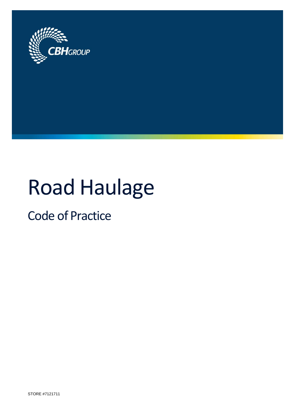

# Road Haulage

Code of Practice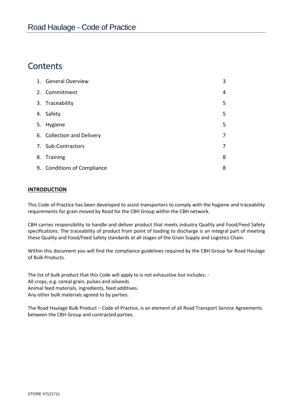# **Contents**

| 1. General Overview         | 3 |
|-----------------------------|---|
| 2. Commitment               | 4 |
| 3. Traceability             | 5 |
| 4. Safety                   | 5 |
| 5. Hygiene                  | 5 |
| 6. Collection and Delivery  | 7 |
| 7. Sub-Contractors          | 7 |
| 8. Training                 | 8 |
| 9. Conditions of Compliance | 8 |

# **INTRODUCTION**

This Code of Practice has been developed to assist transporters to comply with the hygiene and traceability requirements for grain moved by Road for the CBH Group within the CBH network.

CBH carries responsibility to handle and deliver product that meets industry Quality and Food/Feed Safety specifications. The traceability of product from point of loading to discharge is an integral part of meeting these Quality and Food/Feed Safety standards at all stages of the Grain Supply and Logistics Chain.

Within this document you will find the compliance guidelines required by the CBH Group for Road Haulage of Bulk Products.

The list of bulk product that this Code will apply to is not exhaustive but includes: - All crops, e.g. cereal grain, pulses and oilseeds Animal feed materials, ingredients, feed additives. Any other bulk materials agreed to by parties.

The Road Haulage Bulk Product – Code of Practice, is an element of all Road Transport Service Agreements between the CBH Group and contracted parties.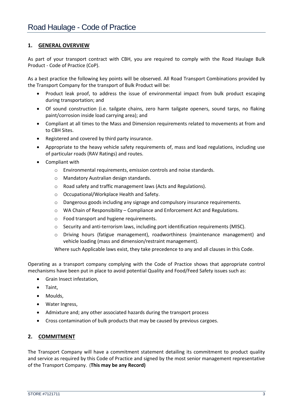## **1. GENERAL OVERVIEW**

As part of your transport contract with CBH, you are required to comply with the Road Haulage Bulk Product - Code of Practice (CoP).

As a best practice the following key points will be observed. All Road Transport Combinations provided by the Transport Company for the transport of Bulk Product will be:

- Product leak proof, to address the issue of environmental impact from bulk product escaping during transportation; and
- Of sound construction (i.e. tailgate chains, zero harm tailgate openers, sound tarps, no flaking paint/corrosion inside load carrying area); and
- Compliant at all times to the Mass and Dimension requirements related to movements at from and to CBH Sites.
- Registered and covered by third party insurance.
- Appropriate to the heavy vehicle safety requirements of, mass and load regulations, including use of particular roads (RAV Ratings) and routes.
- Compliant with
	- o Environmental requirements, emission controls and noise standards.
	- o Mandatory Australian design standards.
	- o Road safety and traffic management laws (Acts and Regulations).
	- o Occupational/Workplace Health and Safety.
	- o Dangerous goods including any signage and compulsory insurance requirements.
	- o WA Chain of Responsibility Compliance and Enforcement Act and Regulations.
	- o Food transport and hygiene requirements.
	- o Security and anti-terrorism laws, including port identification requirements (MISC).
	- $\circ$  Driving hours (fatigue management), roadworthiness (maintenance management) and vehicle loading (mass and dimension/restraint management).

Where such Applicable laws exist, they take precedence to any and all clauses in this Code.

Operating as a transport company complying with the Code of Practice shows that appropriate control mechanisms have been put in place to avoid potential Quality and Food/Feed Safety issues such as:

- Grain Insect infestation,
- Taint.
- Moulds,
- Water Ingress,
- Admixture and; any other associated hazards during the transport process
- Cross contamination of bulk products that may be caused by previous cargoes.

## **2. COMMITMENT**

The Transport Company will have a commitment statement detailing its commitment to product quality and service as required by this Code of Practice and signed by the most senior management representative of the Transport Company. (**This may be any Record)**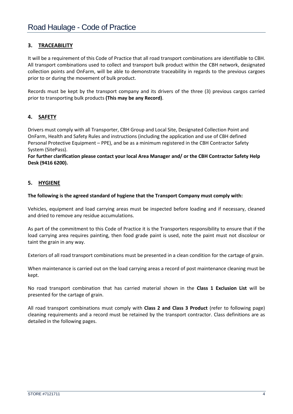# **3. TRACEABILITY**

It will be a requirement of this Code of Practice that all road transport combinations are identifiable to CBH. All transport combinations used to collect and transport bulk product within the CBH network, designated collection points and OnFarm, will be able to demonstrate traceability in regards to the previous cargoes prior to or during the movement of bulk product.

Records must be kept by the transport company and its drivers of the three (3) previous cargos carried prior to transporting bulk products **(This may be any Record)**.

# **4. SAFETY**

Drivers must comply with all Transporter, CBH Group and Local Site, Designated Collection Point and OnFarm, Health and Safety Rules and instructions (including the application and use of CBH defined Personal Protective Equipment – PPE), and be as a minimum registered in the CBH Contractor Safety System (SitePass).

**For further clarification please contact your local Area Manager and/ or the CBH Contractor Safety Help Desk (9416 6200).**

# **5. HYGIENE**

#### **The following is the agreed standard of hygiene that the Transport Company must comply with:**

Vehicles, equipment and load carrying areas must be inspected before loading and if necessary, cleaned and dried to remove any residue accumulations.

As part of the commitment to this Code of Practice it is the Transporters responsibility to ensure that if the load carrying area requires painting, then food grade paint is used, note the paint must not discolour or taint the grain in any way.

Exteriors of all road transport combinations must be presented in a clean condition for the cartage of grain.

When maintenance is carried out on the load carrying areas a record of post maintenance cleaning must be kept.

No road transport combination that has carried material shown in the **Class 1 Exclusion List** will be presented for the cartage of grain.

All road transport combinations must comply with **Class 2 and Class 3 Product** (refer to following page) cleaning requirements and a record must be retained by the transport contractor. Class definitions are as detailed in the following pages.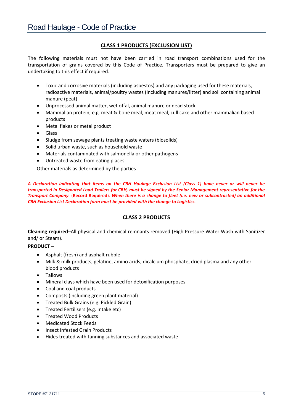# **CLASS 1 PRODUCTS (EXCLUSION LIST)**

The following materials must not have been carried in road transport combinations used for the transportation of grains covered by this Code of Practice. Transporters must be prepared to give an undertaking to this effect if required.

- Toxic and corrosive materials (including asbestos) and any packaging used for these materials, radioactive materials, animal/poultry wastes (including manures/litter) and soil containing animal manure (peat)
- Unprocessed animal matter, wet offal, animal manure or dead stock
- Mammalian protein, e.g. meat & bone meal, meat meal, cull cake and other mammalian based products
- Metal flakes or metal product
- Glass
- Sludge from sewage plants treating waste waters (biosolids)
- Solid urban waste, such as household waste
- Materials contaminated with salmonella or other pathogens
- Untreated waste from eating places

Other materials as determined by the parties

*A Declaration indicating that items on the CBH Haulage Exclusion List (Class 1) have never or will never be transported in Designated Load Trailers for CBH, must be signed by the Senior Management representative for the Transport Company.* (**Record Required**). *When there is a change to fleet (i.e. new or subcontracted) an additional CBH Exclusion List Declaration form must be provided with the change to Logistics.*

## **CLASS 2 PRODUCTS**

**Cleaning required**–All physical and chemical remnants removed (High Pressure Water Wash with Sanitizer and/ or Steam).

#### **PRODUCT –**

- Asphalt (fresh) and asphalt rubble
- Milk & milk products, gelatine, amino acids, dicalcium phosphate, dried plasma and any other blood products
- Tallows
- Mineral clays which have been used for detoxification purposes
- Coal and coal products
- Composts (including green plant material)
- Treated Bulk Grains (e.g. Pickled Grain)
- **•** Treated Fertilisers (e.g. Intake etc)
- **•** Treated Wood Products
- Medicated Stock Feeds
- Insect Infested Grain Products
- Hides treated with tanning substances and associated waste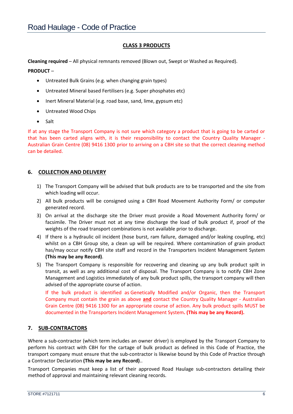# **CLASS 3 PRODUCTS**

**Cleaning required** – All physical remnants removed (Blown out, Swept or Washed as Required).

#### **PRODUCT** –

- Untreated Bulk Grains (e.g. when changing grain types)
- Untreated Mineral based Fertilisers (e.g. Super phosphates etc)
- Inert Mineral Material (e.g. road base, sand, lime, gypsum etc)
- Untreated Wood Chips
- Salt

If at any stage the Transport Company is not sure which category a product that is going to be carted or that has been carted aligns with, it is their responsibility to contact the Country Quality Manager - Australian Grain Centre (08) 9416 1300 prior to arriving on a CBH site so that the correct cleaning method can be detailed.

## **6. COLLECTION AND DELIVERY**

- 1) The Transport Company will be advised that bulk products are to be transported and the site from which loading will occur.
- 2) All bulk products will be consigned using a CBH Road Movement Authority Form/ or computer generated record.
- 3) On arrival at the discharge site the Driver must provide a Road Movement Authority form/ or facsimile. The Driver must not at any time discharge the load of bulk product if, proof of the weights of the road transport combinations is not available prior to discharge.
- 4) If there is a hydraulic oil incident (hose burst, ram failure, damaged and/or leaking coupling, etc) whilst on a CBH Group site, a clean up will be required. Where contamination of grain product has/may occur notify CBH site staff and record in the Transporters Incident Management System **(This may be any Record)**.
- 5) The Transport Company is responsible for recovering and cleaning up any bulk product spilt in transit, as well as any additional cost of disposal. The Transport Company is to notify CBH Zone Management and Logistics immediately of any bulk product spills, the transport company will then advised of the appropriate course of action.

If the bulk product is identified as Genetically Modified and/or Organic, then the Transport Company must contain the grain as above **and** contact the Country Quality Manager - Australian Grain Centre (08) 9416 1300 for an appropriate course of action. Any bulk product spills MUST be documented in the Transporters Incident Management System**. (This may be any Record).**

## **7. SUB-CONTRACTORS**

Where a sub-contractor (which term includes an owner driver) is employed by the Transport Company to perform his contract with CBH for the cartage of bulk product as defined in this Code of Practice, the transport company must ensure that the sub-contractor is likewise bound by this Code of Practice through a Contractor Declaration **(This may be any Record)**..

Transport Companies must keep a list of their approved Road Haulage sub-contractors detailing their method of approval and maintaining relevant cleaning records.